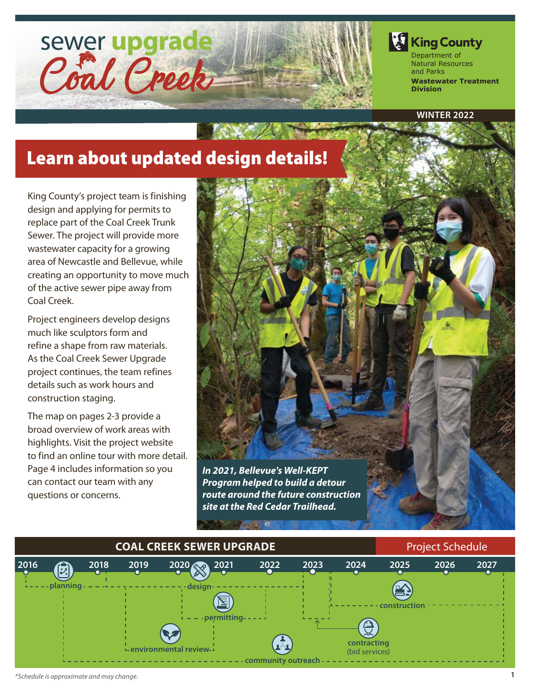

**King County** Department of Natural Resources and Parks

**Wastewater Treatment Division**

**WINTER 2022**

# Learn about updated design details!

King County's project team is finishing design and applying for permits to replace part of the Coal Creek Trunk Sewer. The project will provide more wastewater capacity for a growing area of Newcastle and Bellevue, while creating an opportunity to move much of the active sewer pipe away from Coal Creek.

Project engineers develop designs much like sculptors form and refine a shape from raw materials. As the Coal Creek Sewer Upgrade project continues, the team refines details such as work hours and construction staging.

The map on pages 2-3 provide a broad overview of work areas with highlights. Visit the project website to find an online tour with more detail. Page 4 includes information so you can contact our team with any questions or concerns.



*route around the future construction site at the Red Cedar Trailhead.*

#### **2016 planning designeries designeries designeries designeries permitting** - - - - - community outreach **construction COAL CREEK SEWER UPGRADE EXAMPLE 2008 Project Schedule 2018 2019 2020 2021 2022 2023 2024 2025 2026 2027 environmental review contracting**  (bid services)

**MARINE AND**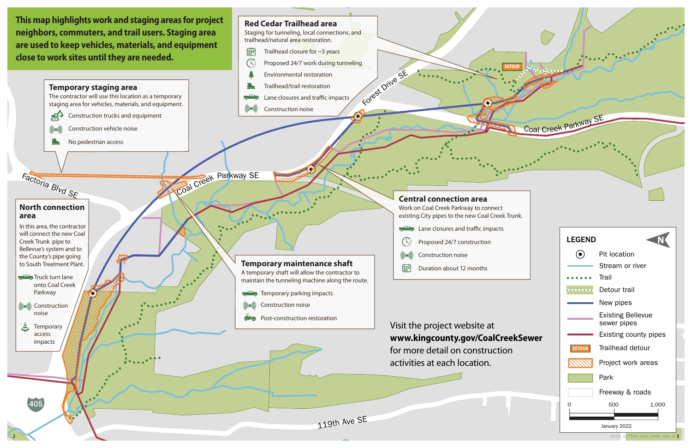

**neighbors, commuters, and trail users. Staging area close to work sites until they are needed.**